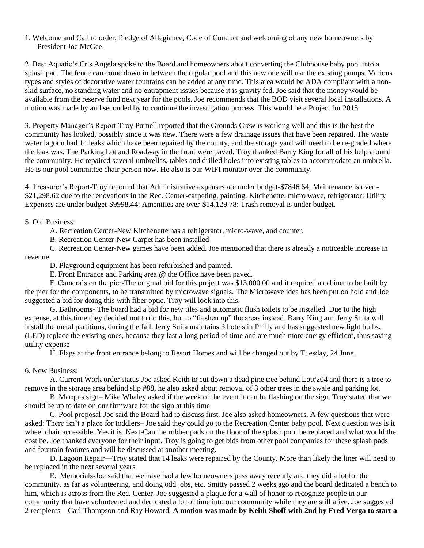1. Welcome and Call to order, Pledge of Allegiance, Code of Conduct and welcoming of any new homeowners by President Joe McGee.

2. Best Aquatic's Cris Angela spoke to the Board and homeowners about converting the Clubhouse baby pool into a splash pad. The fence can come down in between the regular pool and this new one will use the existing pumps. Various types and styles of decorative water fountains can be added at any time. This area would be ADA compliant with a nonskid surface, no standing water and no entrapment issues because it is gravity fed. Joe said that the money would be available from the reserve fund next year for the pools. Joe recommends that the BOD visit several local installations. A motion was made by and seconded by to continue the investigation process. This would be a Project for 2015

3. Property Manager's Report-Troy Purnell reported that the Grounds Crew is working well and this is the best the community has looked, possibly since it was new. There were a few drainage issues that have been repaired. The waste water lagoon had 14 leaks which have been repaired by the county, and the storage yard will need to be re-graded where the leak was. The Parking Lot and Roadway in the front were paved. Troy thanked Barry King for all of his help around the community. He repaired several umbrellas, tables and drilled holes into existing tables to accommodate an umbrella. He is our pool committee chair person now. He also is our WIFI monitor over the community.

4. Treasurer's Report-Troy reported that Administrative expenses are under budget-\$7846.64, Maintenance is over - \$21,298.62 due to the renovations in the Rec. Center-carpeting, painting, Kitchenette, micro wave, refrigerator: Utility Expenses are under budget-\$9998.44: Amenities are over-\$14,129.78: Trash removal is under budget.

## 5. Old Business:

A. Recreation Center-New Kitchenette has a refrigerator, micro-wave, and counter.

B. Recreation Center-New Carpet has been installed

C. Recreation Center-New games have been added. Joe mentioned that there is already a noticeable increase in revenue

D. Playground equipment has been refurbished and painted.

E. Front Entrance and Parking area @ the Office have been paved.

F. Camera's on the pier-The original bid for this project was \$13,000.00 and it required a cabinet to be built by the pier for the components, to be transmitted by microwave signals. The Microwave idea has been put on hold and Joe suggested a bid for doing this with fiber optic. Troy will look into this.

G. Bathrooms- The board had a bid for new tiles and automatic flush toilets to be installed. Due to the high expense, at this time they decided not to do this, but to "freshen up" the areas instead. Barry King and Jerry Suita will install the metal partitions, during the fall. Jerry Suita maintains 3 hotels in Philly and has suggested new light bulbs, (LED) replace the existing ones, because they last a long period of time and are much more energy efficient, thus saving utility expense

H. Flags at the front entrance belong to Resort Homes and will be changed out by Tuesday, 24 June.

## 6. New Business:

A. Current Work order status-Joe asked Keith to cut down a dead pine tree behind Lot#204 and there is a tree to remove in the storage area behind slip #88, he also asked about removal of 3 other trees in the swale and parking lot.

B. Marquis sign– Mike Whaley asked if the week of the event it can be flashing on the sign. Troy stated that we should be up to date on our firmware for the sign at this time

C. Pool proposal-Joe said the Board had to discuss first. Joe also asked homeowners. A few questions that were asked: There isn't a place for toddlers– Joe said they could go to the Recreation Center baby pool. Next question was is it wheel chair accessible. Yes it is. Next-Can the rubber pads on the floor of the splash pool be replaced and what would the cost be. Joe thanked everyone for their input. Troy is going to get bids from other pool companies for these splash pads and fountain features and will be discussed at another meeting.

D. Lagoon Repair—Troy stated that 14 leaks were repaired by the County. More than likely the liner will need to be replaced in the next several years

 E. Memorials-Joe said that we have had a few homeowners pass away recently and they did a lot for the community, as far as volunteering, and doing odd jobs, etc. Smitty passed 2 weeks ago and the board dedicated a bench to him, which is across from the Rec. Center. Joe suggested a plaque for a wall of honor to recognize people in our community that have volunteered and dedicated a lot of time into our community while they are still alive. Joe suggested 2 recipients—Carl Thompson and Ray Howard. **A motion was made by Keith Shoff with 2nd by Fred Verga to start a**